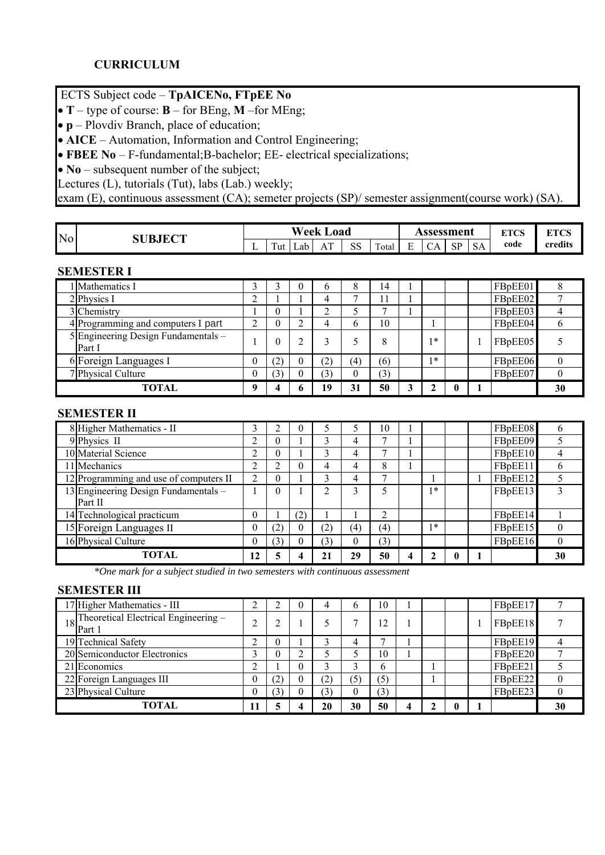# ЕСТS Subject code – **TpAICENo, FTpEE No**

•  $T$  – type of course:  $B$  – for BEng, **M** – for MEng;

• **p** – Plovdiv Branch, place of education;

• **AICE** – Automation, Information and Control Engineering;

• **FBEE No** – F-fundamental;B-bachelor; EE- electrical specializations;

• **No** – subsequent number of the subject;

Lectures (L), tutorials (Tut), labs (Lab.) weekly;

exam (E), continuous assessment (CA); semeter projects (SP)/ semester assignment(course work) (SA).

| N <sub>o</sub> | <b>SUBJECT</b> |          |                | Week | oad                  |                |       |             | Assessment |           |                     | <b>ETCC</b><br>◡<br>. . | <b>ETAC</b><br>◡ |
|----------------|----------------|----------|----------------|------|----------------------|----------------|-------|-------------|------------|-----------|---------------------|-------------------------|------------------|
|                |                | <u>.</u> | $\sim$<br>l ut | Lab  | $\sim$<br>А<br>7 T T | $\alpha$<br>55 | Total | Ð<br>⊷<br>- | Δ<br>◡୵ℷ   | <b>CD</b> | $\sim$ $\sim$<br>SА | code                    | credits          |

#### **SEMESTER I**

| 1 Mathematics I                               |             |     |   | b   | 8        | 14  |   |    |  | FBpEE01 |    |
|-----------------------------------------------|-------------|-----|---|-----|----------|-----|---|----|--|---------|----|
| 2 Physics I                                   | ⌒           |     |   | 4   |          |     |   |    |  | FBpEE02 |    |
| 3 Chemistry                                   |             | O   |   | ∼   |          |     |   |    |  | FBpEE03 |    |
| 4 Programming and computers I part            | ◠           |     |   | 4   | b        | 10  |   |    |  | FBpEE04 | n  |
| 5 Engineering Design Fundamentals -<br>Part I |             | O   |   |     |          | 8   |   | ∗  |  | FBpEE05 |    |
| 6 Foreign Languages I                         | $\theta$    | (2) |   | (2) | (4)      | (6) |   | 1* |  | FBpEE06 |    |
| 7 Physical Culture                            | $\theta$    |     |   | (3) | $\theta$ | (3) |   |    |  | FBpEE07 |    |
| <b>TOTAL</b>                                  | $\mathbf o$ |     | n | 19  | 31       | 50  | 2 |    |  |         | 30 |

#### **SEMESTER II**

| 8 Higher Mathematics - II              | 3              |          |     |                |          | 10  |   |    |  | FBpEE08 | 6  |
|----------------------------------------|----------------|----------|-----|----------------|----------|-----|---|----|--|---------|----|
| 9 Physics II                           | ◠              | O        |     |                | 4        | −   |   |    |  | FBpEE09 |    |
| 10 Material Science                    | ∍<br>∠         | $\theta$ |     | 3              | 4        | г.  |   |    |  | FBpEE10 |    |
| 11 Mechanics                           | າ              |          |     | 4              | 4        | 8   |   |    |  | FBpEE11 | 6  |
| 12 Programming and use of computers II | $\mathfrak{D}$ | $\theta$ |     | ς              | 4        | -   |   |    |  | FBpEE12 |    |
| 13 Engineering Design Fundamentals -   |                | $\Omega$ |     | $\mathfrak{D}$ | 3        |     |   | 1* |  | FBpEE13 |    |
| Part II                                |                |          |     |                |          |     |   |    |  |         |    |
| 14 Technological practicum             | $\theta$       |          | (2) |                |          | ◠   |   |    |  | FBpEE14 |    |
| 15 Foreign Languages II                | $\theta$       | (2)      |     | (2)            | (4)      | (4) |   | 1米 |  | FBpEE15 | 0  |
| 16 Physical Culture                    | $\theta$       | (3)      |     | (3)            | $\theta$ | (3) |   |    |  | FBpEE16 | 0  |
| TOTAL                                  | 12             | 5        |     | 21             | 29       | 50  | 4 | ┑  |  |         | 30 |

 *\*One mark for a subject studied in two semesters with continuous assessment*

#### **SEMESTER III**

| 17 Higher Mathematics - III                       | ◠  |   | $\Omega$ |     | b                | 10  |  |  | FBpEE17 |          |
|---------------------------------------------------|----|---|----------|-----|------------------|-----|--|--|---------|----------|
| 18 Theoretical Electrical Engineering –<br>Part 1 | ◠  |   |          |     |                  | 12  |  |  | FBpEE18 |          |
| 19 Technical Safety                               | ◠  |   |          |     | 4                | ,   |  |  | FBpEE19 |          |
| 20 Semiconductor Electronics                      | ◠  |   |          |     |                  | 10  |  |  | FBpEE20 |          |
| 21 Economics                                      |    |   | $\theta$ |     |                  | 6   |  |  | FBpEE21 |          |
| 22 Foreign Languages III                          | 0  | 2 |          | (2) | (5)              | (5) |  |  | FBpEE22 | 0        |
| 23 Physical Culture                               | 0  | 3 |          | (3) | $\boldsymbol{0}$ | (3) |  |  | FBpEE23 | $^{(1)}$ |
| TOTAL                                             | 11 |   |          | 20  | 30               | 50  |  |  |         | 30       |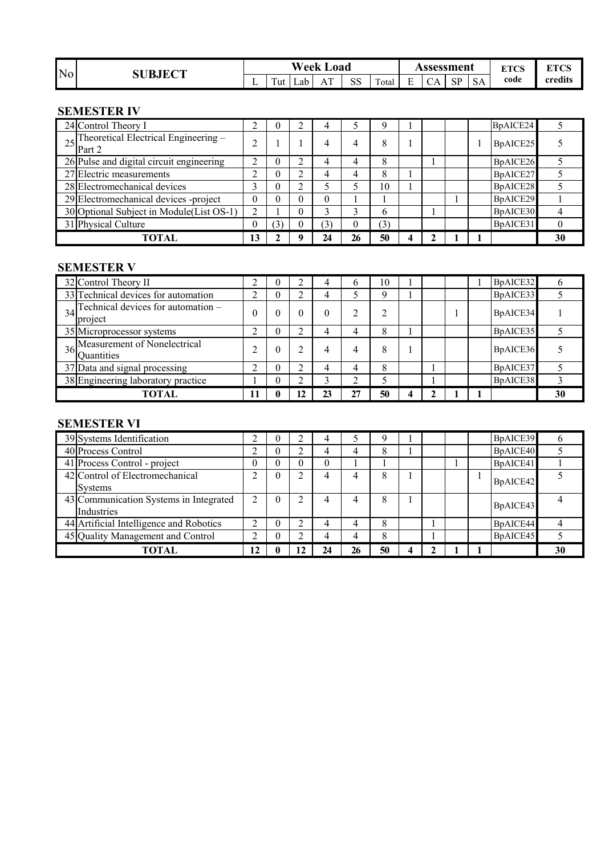| N <sub>o</sub> | <b>SUBJECT</b> |   |     | Week | Load               |                      |       |                     | <b>\ssessment</b> |           |           | <b>ETOC</b><br>88 L CD | <b>ETAC</b><br>LI UJ |
|----------------|----------------|---|-----|------|--------------------|----------------------|-------|---------------------|-------------------|-----------|-----------|------------------------|----------------------|
|                |                | ∸ | Tut | Lab  | $\mathbf{r}$<br>Αl | C <sub>C</sub><br>ככ | Total | $\blacksquare$<br>∸ | ⌒<br>◡୵ℷ          | CD<br>IJΙ | <b>SA</b> | code                   | credits              |

#### **SEMESTER IV**

| 24 Control Theory I                                                                            |          | v | 4              |          |     |  |  | BpAICE24 |    |
|------------------------------------------------------------------------------------------------|----------|---|----------------|----------|-----|--|--|----------|----|
| $25\begin{array}{ l }\n\text{Theoretical Electrical Engineering} - \text{Part 2}\n\end{array}$ |          |   | $\overline{4}$ | 4        | 8   |  |  | BpAICE25 |    |
| 26 Pulse and digital circuit engineering                                                       |          |   | 4              | 4        | 8   |  |  | BpAICE26 |    |
| 27 Electric measurements                                                                       |          |   | 4              | 4        | 8   |  |  | BpAICE27 |    |
| 28 Electromechanical devices                                                                   | ◠        | U |                |          | 10  |  |  | BpAICE28 |    |
| 29 Electromechanical devices -project                                                          | $\theta$ |   | 0              |          |     |  |  | BpAICE29 |    |
| 30 Optional Subject in Module(List OS-1)                                                       | っ        |   |                |          | 6   |  |  | BpAICE30 |    |
| 31 Physical Culture                                                                            |          |   | (3)            | $\theta$ | (3) |  |  | BpAICE31 |    |
| TOTAL                                                                                          | 13       |   | 24             | 26       | 50  |  |  |          | 30 |

### **SEMESTER V**

| 32 Control Theory II                                          |          |   |    |    |    | 10 |   |  | BpAICE32 |    |
|---------------------------------------------------------------|----------|---|----|----|----|----|---|--|----------|----|
| 33 Technical devices for automation                           | ◠        |   |    |    |    |    |   |  | BpAICE33 |    |
| $34$ <sup>Technical devices for automation –</sup><br>project | $\Omega$ |   |    | 0  |    |    |   |  | BpAICE34 |    |
| 35 Microprocessor systems                                     | ↑        | v | ◠  |    | 4  | 8  |   |  | BpAICE35 |    |
| $36$ Measurement of Nonelectrical<br><i>Quantities</i>        | ◠        | O |    |    | 4  | 8  |   |  | BpAICE36 |    |
| 37 Data and signal processing                                 | ◠        |   | ◠  |    |    | 8  |   |  | BpAICE37 |    |
| 38 Engineering laboratory practice                            |          |   |    |    |    |    |   |  | BpAICE38 |    |
| TOTAL                                                         | 11       |   | 12 | 23 | 27 | 50 | 4 |  |          | 30 |

#### **SEMESTER VI**

| 39 Systems Identification                            |          |          |   |    |    |    |   |  | BpAICE39 |    |
|------------------------------------------------------|----------|----------|---|----|----|----|---|--|----------|----|
| 40 Process Control                                   | ◠        | O        |   |    |    | 8  |   |  | BpAICE40 |    |
| 41 Process Control - project                         | $\theta$ |          |   | 0  |    |    |   |  | BpAICE41 |    |
| 42 Control of Electromechanical<br><b>Systems</b>    | ↑        | $\theta$ | ◠ |    |    | 8  |   |  | BpAICE42 |    |
| 43 Communication Systems in Integrated<br>Industries | 2        | $\theta$ | ◠ |    |    | 8  |   |  | BpAICE43 |    |
| 44 Artificial Intelligence and Robotics              | ◠        |          |   |    |    | 8  |   |  | BpAICE44 |    |
| 45 Quality Management and Control                    | ◠        |          |   | 4  | 4  | 8  |   |  | BpAICE45 |    |
| TOTAL                                                | 12       |          |   | 24 | 26 | 50 | 4 |  |          | 30 |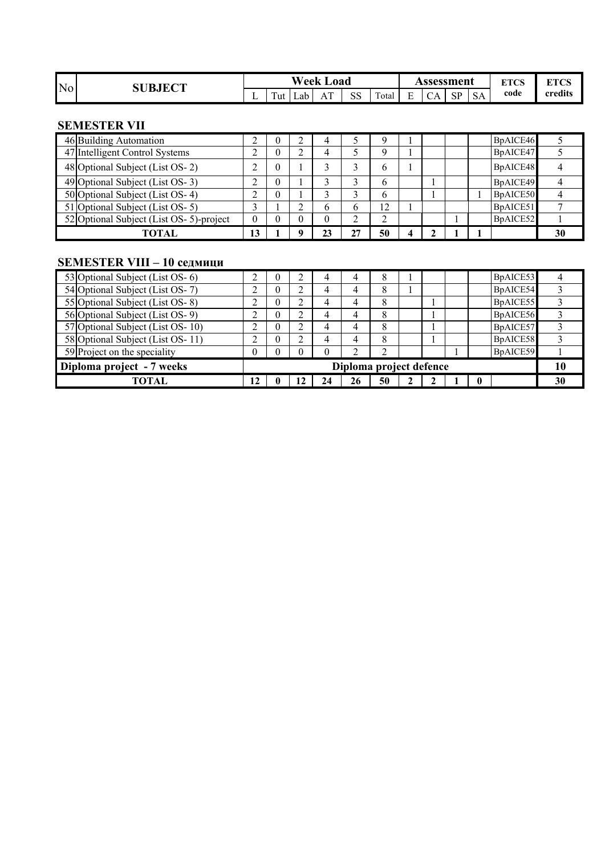| N <sub>o</sub> | <b>SUBJECT</b> |   |               | <b>Week</b> | Load      |               |       |   | Assessment    |                               |           | $FTCC$ | <b>ETAC</b><br>L I C2 |
|----------------|----------------|---|---------------|-------------|-----------|---------------|-------|---|---------------|-------------------------------|-----------|--------|-----------------------|
|                |                | - | $\sim$<br>'ut | Lab L       | . m<br>Αl | $C$ $C$<br>טט | Total | - | $\sim$<br>UA. | $\mathbf{C} \mathbf{D}$<br>ΩI | <b>SA</b> | code   | credits               |

### **SEMESTER VII**

| 46 Building Automation                  | ◠        |  |              |    |    |  |  | BpAICE46 |  |
|-----------------------------------------|----------|--|--------------|----|----|--|--|----------|--|
| 47 Intelligent Control Systems          |          |  |              |    | Q  |  |  | BpAICE47 |  |
| 48 Optional Subject (List OS-2)         |          |  |              |    | b  |  |  | BpAICE48 |  |
| 49 Optional Subject (List OS-3)         | ◠        |  |              |    | b  |  |  | BpAICE49 |  |
| 50 Optional Subject (List OS-4)         | ◠        |  |              |    | b  |  |  | BpAICE50 |  |
| 51 Optional Subject (List OS-5)         |          |  | <sub>b</sub> | b  | 12 |  |  | BpAICE51 |  |
| 52 Optional Subject (List OS-5)-project | $\theta$ |  | $\theta$     | ∠  | ∸  |  |  | BpAICE52 |  |
| <b>TOTAL</b>                            | 13       |  | 23           | 27 | 50 |  |  |          |  |

# **SEMESTER VIII – 10 седмици**

| $SLMED$ $LEK$ $VIII = IV$ седмици |                         |  |   |    |    |    |  |    |   |          |    |
|-----------------------------------|-------------------------|--|---|----|----|----|--|----|---|----------|----|
| 53 Optional Subject (List OS- 6)  | ◠                       |  |   | 4  | 4  | 8  |  |    |   | BpAICE53 |    |
| 54 Optional Subject (List OS-7)   | ◠                       |  | ∠ | 4  | 4  | 8  |  |    |   | BpAICE54 |    |
| 55 Optional Subject (List OS-8)   | ↑                       |  | ↑ | 4  | 4  | 8  |  |    |   | BpAICE55 |    |
| 56 Optional Subject (List OS- 9)  | ◠                       |  | ◠ | 4  | 4  | 8  |  |    |   | BpAICE56 |    |
| 57 Optional Subject (List OS-10)  | ◠                       |  | ◠ | 4  | 4  | 8  |  |    |   | BpAICE57 |    |
| 58 Optional Subject (List OS-11)  | ↑                       |  | ↑ | 4  | 4  | 8  |  |    |   | BpAICE58 |    |
| 59 Project on the speciality      | 0                       |  |   | 0  | ↑  | ↑  |  |    |   | BpAICE59 |    |
| Diploma project - 7 weeks         | Diploma project defence |  |   |    |    |    |  | 10 |   |          |    |
| TOTAL                             | 12                      |  |   | 24 | 26 | 50 |  |    | 0 |          | 30 |